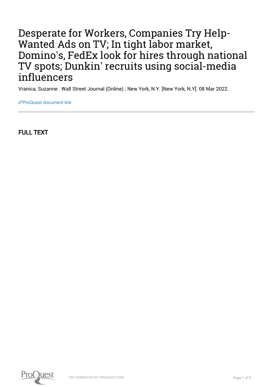## Desperate for Workers, Companies Try Help-Wanted Ads on TV; In tight labor market, Domino's, FedEx look for hires through national TV spots; Dunkin' recruits using social-media influencers

Vranica, Suzanne . Wall Street Journal (Online) ; New York, N.Y. [New York, N.Y]. 08 Mar 2022.

[ProQuest document link](https://www.proquest.com/newspapers/desperate-workers-companies-try-help-wanted-ads/docview/2636867749/se-2?accountid=44910)

FULL TEXT

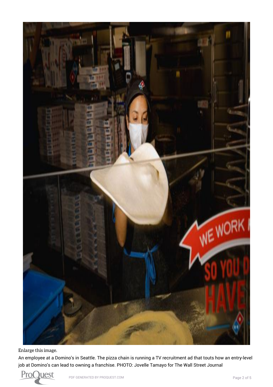

[Enlarge this image.](https://www.proquest.comhttps://www.proquest.com/textgraphic/2636867749/fulltextwithgraphics/F41C481927FC477EPQ/1/1?accountid=44910)

An employee at a Domino's in Seattle. The pizza chain is running a TV recruitment ad that touts how an entry-level job at Domino's can lead to owning a franchise. PHOTO: Jovelle Tamayo for The Wall Street Journal

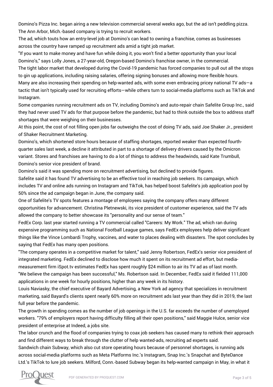Domino's Pizza Inc. began airing a new television commercial several weeks ago, but the ad isn't peddling pizza. The Ann Arbor, Mich.-based company is trying to recruit workers.

The ad, which touts how an entry-level job at Domino's can lead to owning a franchise, comes as businesses across the country have ramped up recruitment ads amid a tight job market.

"If you want to make money and have fun while doing it, you won't find a better opportunity than your local Domino's," says Lolly Jones, a 27-year-old, Oregon-based Domino's franchise owner, in the commercial.

The tight labor market that developed during the Covid-19 pandemic has forced companies to pull out all the stops to gin up applications, including raising salaries, offering signing bonuses and allowing more flexible hours.

Many are also increasing their spending on help-wanted ads, with some even embracing pricey national TV ads—a tactic that isn't typically used for recruiting efforts—while others turn to social-media platforms such as TikTok and Instagram.

Some companies running recruitment ads on TV, including Domino's and auto-repair chain Safelite Group Inc., said they had never used TV ads for that purpose before the pandemic, but had to think outside the box to address staff shortages that were weighing on their businesses.

At this point, the cost of not filling open jobs far outweighs the cost of doing TV ads, said Joe Shaker Jr., president of Shaker Recruitment Marketing.

Domino's, which shortened store hours because of staffing shortages, reported weaker than expected fourthquarter sales last week, a decline it attributed in part to a shortage of delivery drivers caused by the Omicron variant. Stores and franchises are having to do a lot of things to address the headwinds, said Kate Trumbull, Domino's senior vice president of brand.

Domino's said it was spending more on recruitment advertising, but declined to provide figures.

Safelite said it has found TV advertising to be an effective tool in reaching job seekers. Its campaign, which includes TV and online ads running on Instagram and TikTok, has helped boost Safelite's job application pool by 50% since the ad campaign began in June, the company said.

One of Safelite's TV spots features a montage of employees saying the company offers many different opportunities for advancement. Christina Pletnewski, its vice president of customer experience, said the TV ads allowed the company to better showcase its "personality and our sense of team."

FedEx Corp. last year started running a TV commercial called "Careers: My Work." The ad, which ran during expensive programming such as National Football League games, says FedEx employees help deliver significant things like the Vince Lombardi Trophy, vaccines, and water to places dealing with disasters. The spot concludes by saying that FedEx has many open positions.

"The company operates in a competitive market for talent," said Jenny Robertson, FedEx's senior vice president of integrated marketing. FedEx declined to disclose how much it spent on its recruitment ad effort, but mediameasurement firm iSpot.tv estimates FedEx has spent roughly \$24 million to air its TV ad as of last month. "We believe the campaign has been successful," Ms. Robertson said. In December, FedEx said it fielded 111,000 applications in one week for hourly positions, higher than any week in its history.

Louis Naviasky, the chief executive of Bayard Advertising, a New York ad agency that specializes in recruitment marketing, said Bayard's clients spent nearly 60% more on recruitment ads last year than they did in 2019, the last full year before the pandemic.

The growth in spending comes as the number of job openings in the U.S. far exceeds the number of unemployed workers. "79% of employers report having difficulty filling all their open positions," said Maggie Hulce, senior vice president of enterprise at Indeed, a jobs site.

The labor crunch and the flood of companies trying to coax job seekers has caused many to rethink their approach and find different ways to break through the clutter of help wanted-ads, recruiting ad experts said.

Sandwich chain Subway, which also cut store operating hours because of personnel shortages, is running ads across social-media platforms such as Meta Platforms Inc.'s Instagram, Snap Inc.'s Snapchat and ByteDance Ltd.'s TikTok to lure job seekers. Milford, Conn.-based Subway began its help-wanted campaign in May, in what it

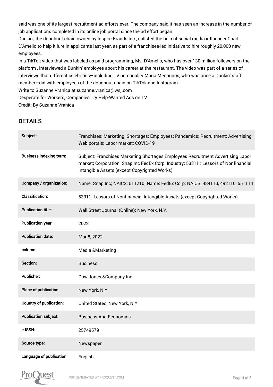said was one of its largest recruitment ad efforts ever. The company said it has seen an increase in the number of job applications completed in its online job portal since the ad effort began.

Dunkin', the doughnut chain owned by Inspire Brands Inc., enlisted the help of social-media influencer Charli D'Amelio to help it lure in applicants last year, as part of a franchisee-led initiative to hire roughly 20,000 new employees.

In a TikTok video that was labeled as paid programming, Ms. D'Amelio, who has over 130 million followers on the platform , interviewed a Dunkin' employee about his career at the restaurant. The video was part of a series of interviews that different celebrities—including TV personality Maria Menounos, who was once a Dunkin' staff member—did with employees of the doughnut chain on TikTok and Instagram.

Write to Suzanne Vranica at suzanne.vranica@wsj.com

Desperate for Workers, Companies Try Help-Wanted Ads on TV

Credit: By Suzanne Vranica

## DETAILS

| Subject:                       | Franchises; Marketing; Shortages; Employees; Pandemics; Recruitment; Advertising;<br>Web portals; Labor market; COVID-19                                                                                               |
|--------------------------------|------------------------------------------------------------------------------------------------------------------------------------------------------------------------------------------------------------------------|
| <b>Business indexing term:</b> | Subject: Franchises Marketing Shortages Employees Recruitment Advertising Labor<br>market; Corporation: Snap Inc FedEx Corp; Industry: 53311 : Lessors of Nonfinancial<br>Intangible Assets (except Copyrighted Works) |
| Company / organization:        | Name: Snap Inc; NAICS: 511210; Name: FedEx Corp; NAICS: 484110, 492110, 551114                                                                                                                                         |
| <b>Classification:</b>         | 53311: Lessors of Nonfinancial Intangible Assets (except Copyrighted Works)                                                                                                                                            |
| <b>Publication title:</b>      | Wall Street Journal (Online); New York, N.Y.                                                                                                                                                                           |
| <b>Publication year:</b>       | 2022                                                                                                                                                                                                                   |
| <b>Publication date:</b>       | Mar 8, 2022                                                                                                                                                                                                            |
| column:                        | Media & Marketing                                                                                                                                                                                                      |
| Section:                       | <b>Business</b>                                                                                                                                                                                                        |
| <b>Publisher:</b>              | Dow Jones & Company Inc                                                                                                                                                                                                |
|                                |                                                                                                                                                                                                                        |
| Place of publication:          | New York, N.Y.                                                                                                                                                                                                         |
| <b>Country of publication:</b> | United States, New York, N.Y.                                                                                                                                                                                          |
| <b>Publication subject:</b>    | <b>Business And Economics</b>                                                                                                                                                                                          |
| e-ISSN:                        | 25749579                                                                                                                                                                                                               |
| Source type:                   | Newspaper                                                                                                                                                                                                              |